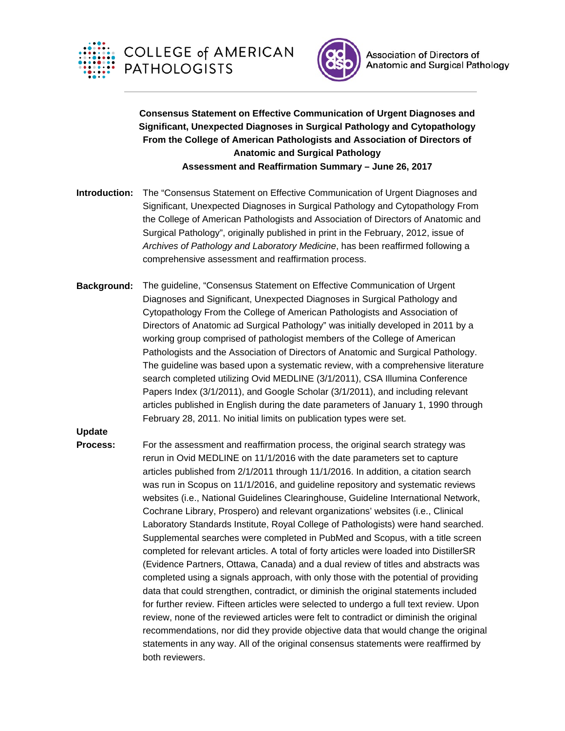



## **Consensus Statement on Effective Communication of Urgent Diagnoses and Significant, Unexpected Diagnoses in Surgical Pathology and Cytopathology From the College of American Pathologists and Association of Directors of Anatomic and Surgical Pathology Assessment and Reaffirmation Summary – June 26, 2017**

- **Introduction:** The "Consensus Statement on Effective Communication of Urgent Diagnoses and Significant, Unexpected Diagnoses in Surgical Pathology and Cytopathology From the College of American Pathologists and Association of Directors of Anatomic and Surgical Pathology", originally published in print in the February, 2012, issue of *Archives of Pathology and Laboratory Medicine*, has been reaffirmed following a comprehensive assessment and reaffirmation process.
- **Background:** The guideline, "Consensus Statement on Effective Communication of Urgent Diagnoses and Significant, Unexpected Diagnoses in Surgical Pathology and Cytopathology From the College of American Pathologists and Association of Directors of Anatomic ad Surgical Pathology" was initially developed in 2011 by a working group comprised of pathologist members of the College of American Pathologists and the Association of Directors of Anatomic and Surgical Pathology. The guideline was based upon a systematic review, with a comprehensive literature search completed utilizing Ovid MEDLINE (3/1/2011), CSA Illumina Conference Papers Index (3/1/2011), and Google Scholar (3/1/2011), and including relevant articles published in English during the date parameters of January 1, 1990 through February 28, 2011. No initial limits on publication types were set.

**Update** 

**Process:** For the assessment and reaffirmation process, the original search strategy was rerun in Ovid MEDLINE on 11/1/2016 with the date parameters set to capture articles published from 2/1/2011 through 11/1/2016. In addition, a citation search was run in Scopus on 11/1/2016, and guideline repository and systematic reviews websites (i.e., National Guidelines Clearinghouse, Guideline International Network, Cochrane Library, Prospero) and relevant organizations' websites (i.e., Clinical Laboratory Standards Institute, Royal College of Pathologists) were hand searched. Supplemental searches were completed in PubMed and Scopus, with a title screen completed for relevant articles. A total of forty articles were loaded into DistillerSR (Evidence Partners, Ottawa, Canada) and a dual review of titles and abstracts was completed using a signals approach, with only those with the potential of providing data that could strengthen, contradict, or diminish the original statements included for further review. Fifteen articles were selected to undergo a full text review. Upon review, none of the reviewed articles were felt to contradict or diminish the original recommendations, nor did they provide objective data that would change the original statements in any way. All of the original consensus statements were reaffirmed by both reviewers.